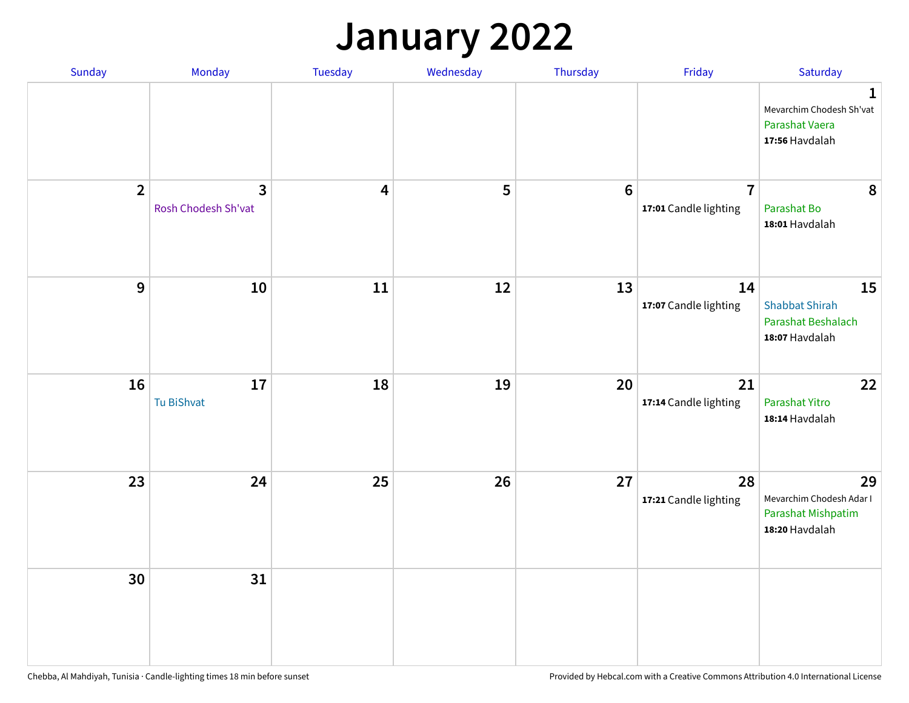## **January 2022**

| Sunday         | Monday                                         | Tuesday                 | Wednesday | Thursday        | Friday                                  | Saturday                                                                    |
|----------------|------------------------------------------------|-------------------------|-----------|-----------------|-----------------------------------------|-----------------------------------------------------------------------------|
|                |                                                |                         |           |                 |                                         | $\mathbf 1$<br>Mevarchim Chodesh Sh'vat<br>Parashat Vaera<br>17:56 Havdalah |
| $\overline{2}$ | $\overline{\mathbf{3}}$<br>Rosh Chodesh Sh'vat | $\overline{\mathbf{4}}$ | 5         | $6\phantom{1}6$ | $\overline{7}$<br>17:01 Candle lighting | 8<br>Parashat Bo<br>18:01 Havdalah                                          |
| 9              | 10                                             | 11                      | 12        | 13              | 14<br>17:07 Candle lighting             | 15<br><b>Shabbat Shirah</b><br>Parashat Beshalach<br>18:07 Havdalah         |
| 16             | 17<br>Tu BiShvat                               | 18                      | 19        | 20              | 21<br>17:14 Candle lighting             | 22<br>Parashat Yitro<br>18:14 Havdalah                                      |
| 23             | 24                                             | 25                      | 26        | 27              | 28<br>17:21 Candle lighting             | 29<br>Mevarchim Chodesh Adar I<br>Parashat Mishpatim<br>18:20 Havdalah      |
| 30             | 31                                             |                         |           |                 |                                         |                                                                             |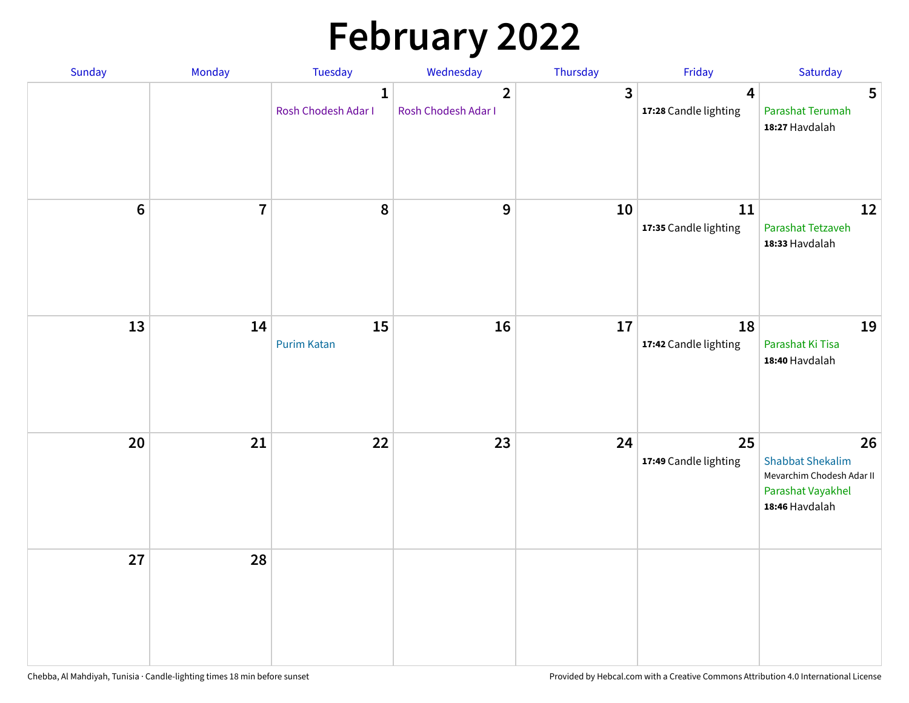# **February 2022**

| Sunday | Monday                  | <b>Tuesday</b>                      | Wednesday                             | Thursday | Friday                                           | Saturday                                                                                          |
|--------|-------------------------|-------------------------------------|---------------------------------------|----------|--------------------------------------------------|---------------------------------------------------------------------------------------------------|
|        |                         | $\mathbf{1}$<br>Rosh Chodesh Adar I | $\overline{2}$<br>Rosh Chodesh Adar I | 3        | $\overline{\mathbf{4}}$<br>17:28 Candle lighting | 5<br>Parashat Terumah<br>18:27 Havdalah                                                           |
| $6\,$  | $\overline{\mathbf{7}}$ | 8                                   | 9                                     | 10       | 11<br>17:35 Candle lighting                      | 12<br>Parashat Tetzaveh<br>18:33 Havdalah                                                         |
| 13     | 14                      | 15<br><b>Purim Katan</b>            | 16                                    | 17       | 18<br>17:42 Candle lighting                      | 19<br>Parashat Ki Tisa<br>18:40 Havdalah                                                          |
| 20     | 21                      | 22                                  | 23                                    | 24       | 25<br>17:49 Candle lighting                      | 26<br><b>Shabbat Shekalim</b><br>Mevarchim Chodesh Adar II<br>Parashat Vayakhel<br>18:46 Havdalah |
| 27     | 28                      |                                     |                                       |          |                                                  |                                                                                                   |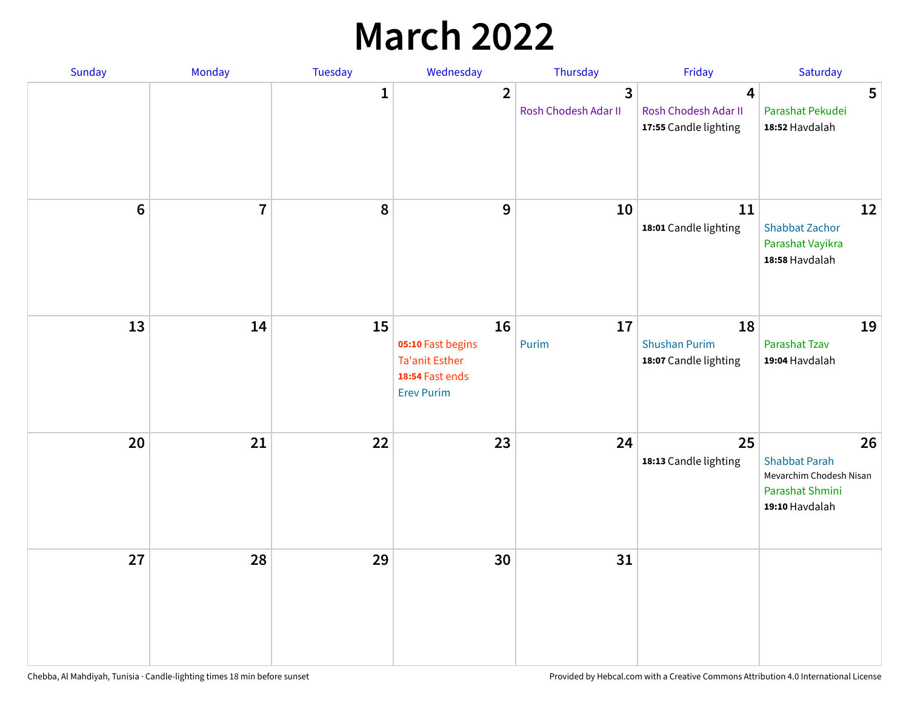## **March 2022**

| Sunday  | <b>Monday</b>  | <b>Tuesday</b> | Wednesday                                                                         | Thursday                                        | Friday                                              | Saturday                                                                                   |
|---------|----------------|----------------|-----------------------------------------------------------------------------------|-------------------------------------------------|-----------------------------------------------------|--------------------------------------------------------------------------------------------|
|         |                | $\mathbf{1}$   | $\overline{2}$                                                                    | $\overline{\mathbf{3}}$<br>Rosh Chodesh Adar II | 4<br>Rosh Chodesh Adar II<br>17:55 Candle lighting  | 5<br>Parashat Pekudei<br>18:52 Havdalah                                                    |
| $\bf 6$ | $\overline{7}$ | 8              | 9                                                                                 | 10                                              | 11<br>18:01 Candle lighting                         | 12<br><b>Shabbat Zachor</b><br>Parashat Vayikra<br>18:58 Havdalah                          |
| 13      | 14             | 15             | 16<br>05:10 Fast begins<br>Ta'anit Esther<br>18:54 Fast ends<br><b>Erev Purim</b> | 17<br>Purim                                     | 18<br><b>Shushan Purim</b><br>18:07 Candle lighting | 19<br>Parashat Tzav<br>19:04 Havdalah                                                      |
| 20      | 21             | 22             | 23                                                                                | 24                                              | 25<br>18:13 Candle lighting                         | 26<br><b>Shabbat Parah</b><br>Mevarchim Chodesh Nisan<br>Parashat Shmini<br>19:10 Havdalah |
| 27      | 28             | 29             | 30                                                                                | 31                                              |                                                     |                                                                                            |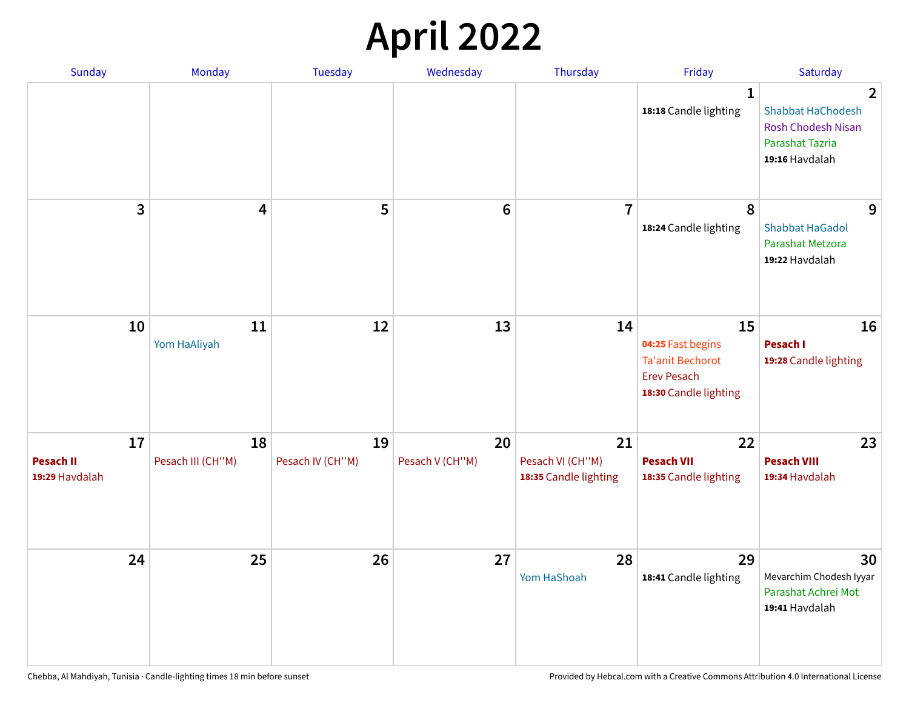## **April 2022**

| Sunday                                   | Monday                  | <b>Tuesday</b>         | Wednesday             | Thursday                                        | Friday                                                                                            | Saturday                                                                                                            |
|------------------------------------------|-------------------------|------------------------|-----------------------|-------------------------------------------------|---------------------------------------------------------------------------------------------------|---------------------------------------------------------------------------------------------------------------------|
|                                          |                         |                        |                       |                                                 | $\mathbf{1}$<br>18:18 Candle lighting                                                             | $\overline{2}$<br><b>Shabbat HaChodesh</b><br><b>Rosh Chodesh Nisan</b><br><b>Parashat Tazria</b><br>19:16 Havdalah |
| 3                                        | $\overline{4}$          | 5                      | $6\phantom{1}6$       | $\overline{7}$                                  | 8<br>18:24 Candle lighting                                                                        | 9<br><b>Shabbat HaGadol</b><br>Parashat Metzora<br>19:22 Havdalah                                                   |
| 10                                       | 11<br>Yom HaAliyah      | 12                     | 13                    | 14                                              | 15<br>04:25 Fast begins<br><b>Ta'anit Bechorot</b><br><b>Erev Pesach</b><br>18:30 Candle lighting | 16<br>Pesach I<br>19:28 Candle lighting                                                                             |
| 17<br><b>Pesach II</b><br>19:29 Havdalah | 18<br>Pesach III (CH"M) | 19<br>Pesach IV (CH"M) | 20<br>Pesach V (CH"M) | 21<br>Pesach VI (CH"M)<br>18:35 Candle lighting | 22<br><b>Pesach VII</b><br>18:35 Candle lighting                                                  | 23<br><b>Pesach VIII</b><br>19:34 Havdalah                                                                          |
| 24                                       | 25                      | 26                     | 27                    | 28<br>Yom HaShoah                               | 29<br>18:41 Candle lighting                                                                       | 30<br>Mevarchim Chodesh Iyyar<br>Parashat Achrei Mot<br>19:41 Havdalah                                              |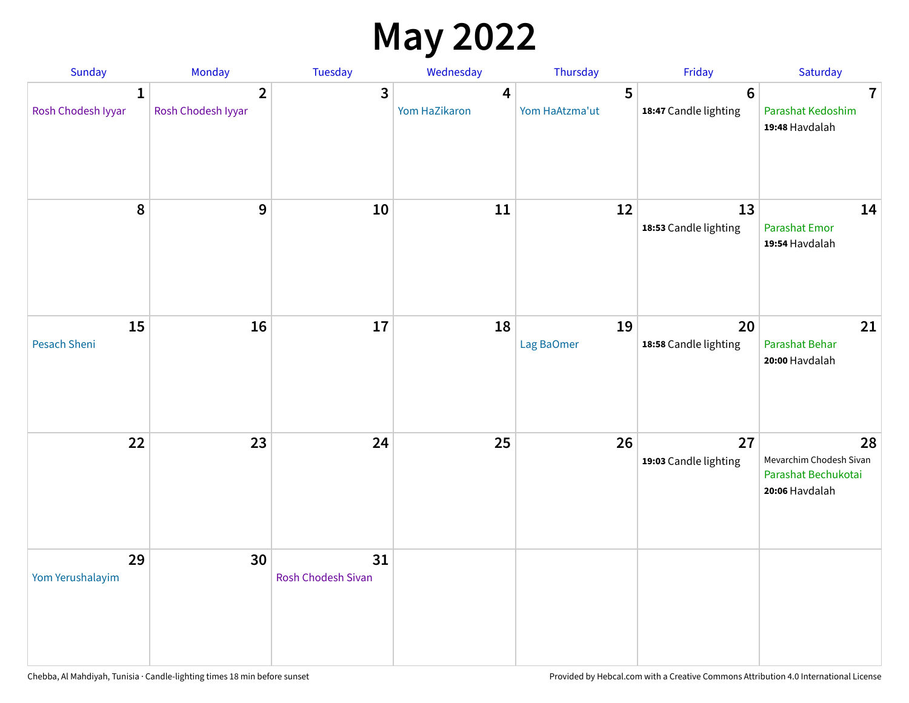## **May 2022**

| Sunday                             | Monday                               | Tuesday                  | Wednesday                                | Thursday            | Friday                                  | Saturday                                                               |
|------------------------------------|--------------------------------------|--------------------------|------------------------------------------|---------------------|-----------------------------------------|------------------------------------------------------------------------|
| $\mathbf{1}$<br>Rosh Chodesh Iyyar | $\overline{2}$<br>Rosh Chodesh Iyyar | 3                        | $\overline{\mathbf{4}}$<br>Yom HaZikaron | 5<br>Yom HaAtzma'ut | $6\phantom{1}$<br>18:47 Candle lighting | $\overline{7}$<br>Parashat Kedoshim<br>19:48 Havdalah                  |
| 8                                  | 9                                    | 10                       | 11                                       | 12                  | 13<br>18:53 Candle lighting             | 14<br>Parashat Emor<br>19:54 Havdalah                                  |
| 15<br>Pesach Sheni                 | 16                                   | 17                       | 18                                       | 19<br>Lag BaOmer    | 20<br>18:58 Candle lighting             | 21<br>Parashat Behar<br>20:00 Havdalah                                 |
| 22                                 | 23                                   | 24                       | 25                                       | 26                  | 27<br>19:03 Candle lighting             | 28<br>Mevarchim Chodesh Sivan<br>Parashat Bechukotai<br>20:06 Havdalah |
| 29<br>Yom Yerushalayim             | 30                                   | 31<br>Rosh Chodesh Sivan |                                          |                     |                                         |                                                                        |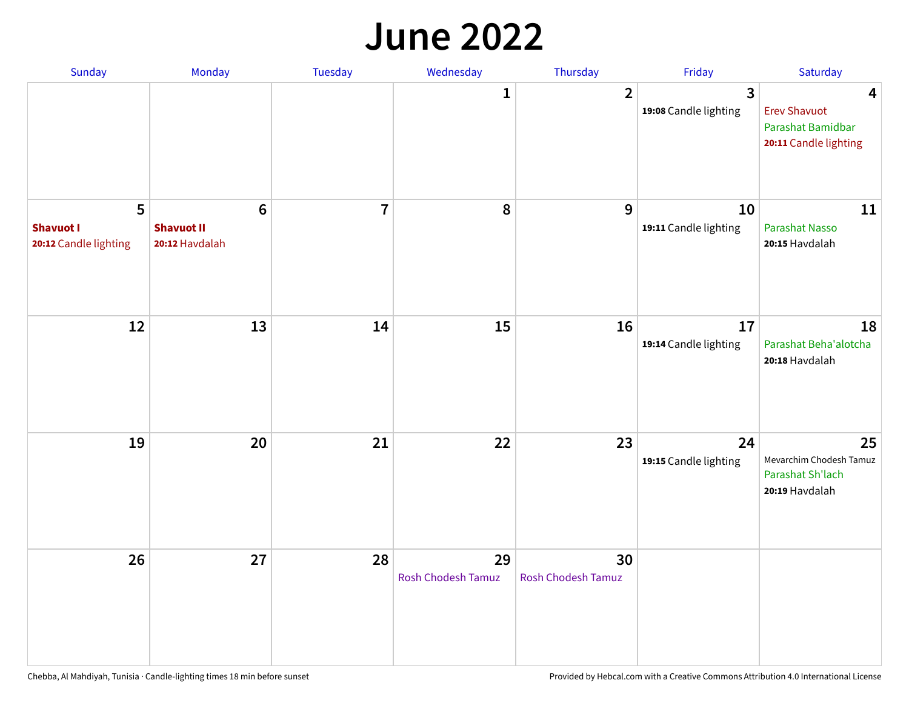#### **June 2022**

| Sunday                                         | Monday                                                | Tuesday        | Wednesday                       | Thursday                        | Friday                      | Saturday                                                               |
|------------------------------------------------|-------------------------------------------------------|----------------|---------------------------------|---------------------------------|-----------------------------|------------------------------------------------------------------------|
|                                                |                                                       |                | 1                               | $\overline{2}$                  | 3<br>19:08 Candle lighting  | 4<br><b>Erev Shavuot</b><br>Parashat Bamidbar<br>20:11 Candle lighting |
| 5<br><b>Shavuot I</b><br>20:12 Candle lighting | $6\phantom{1}$<br><b>Shavuot II</b><br>20:12 Havdalah | $\overline{7}$ | 8                               | 9                               | 10<br>19:11 Candle lighting | 11<br><b>Parashat Nasso</b><br>20:15 Havdalah                          |
| 12                                             | 13                                                    | 14             | 15                              | 16                              | 17<br>19:14 Candle lighting | 18<br>Parashat Beha'alotcha<br>20:18 Havdalah                          |
| 19                                             | 20                                                    | 21             | 22                              | 23                              | 24<br>19:15 Candle lighting | 25<br>Mevarchim Chodesh Tamuz<br>Parashat Sh'lach<br>20:19 Havdalah    |
| 26                                             | 27                                                    | 28             | 29<br><b>Rosh Chodesh Tamuz</b> | 30<br><b>Rosh Chodesh Tamuz</b> |                             |                                                                        |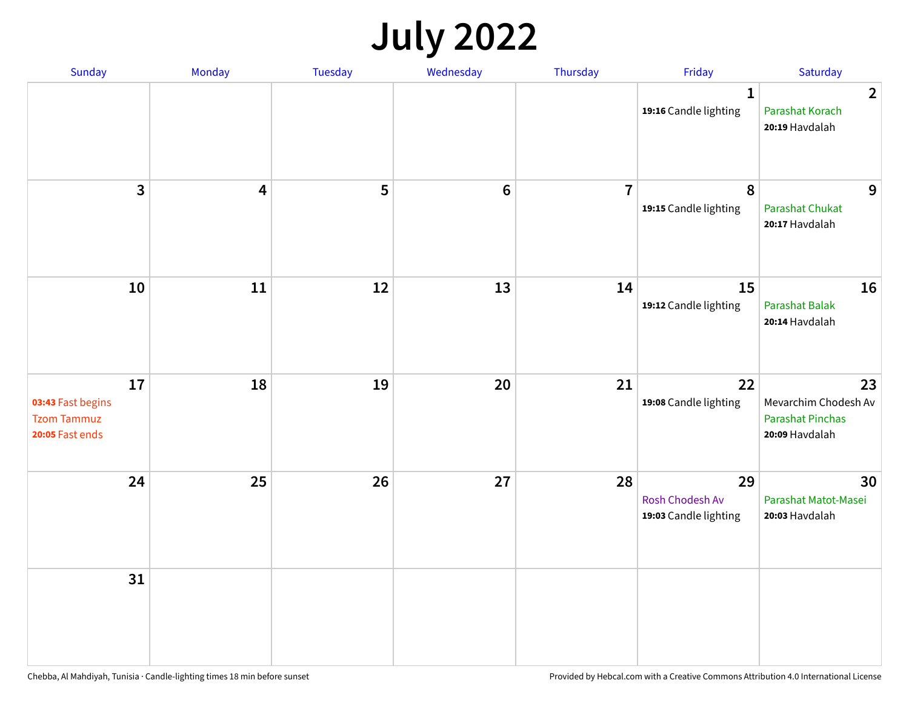## **July 2022**

| Sunday                                                           | Monday                  | Tuesday | Wednesday | Thursday       | Friday                                         | Saturday                                                                |
|------------------------------------------------------------------|-------------------------|---------|-----------|----------------|------------------------------------------------|-------------------------------------------------------------------------|
|                                                                  |                         |         |           |                | $\mathbf{1}$<br>19:16 Candle lighting          | $\overline{2}$<br>Parashat Korach<br>20:19 Havdalah                     |
| $\mathbf{3}$                                                     | $\overline{\mathbf{4}}$ | 5       | $\bf 6$   | $\overline{7}$ | $\pmb{8}$<br>19:15 Candle lighting             | 9<br>Parashat Chukat<br>20:17 Havdalah                                  |
| 10                                                               | 11                      | 12      | 13        | 14             | 15<br>19:12 Candle lighting                    | 16<br><b>Parashat Balak</b><br>20:14 Havdalah                           |
| 17<br>03:43 Fast begins<br><b>Tzom Tammuz</b><br>20:05 Fast ends | 18                      | 19      | 20        | 21             | 22<br>19:08 Candle lighting                    | 23<br>Mevarchim Chodesh Av<br><b>Parashat Pinchas</b><br>20:09 Havdalah |
| 24                                                               | 25                      | 26      | 27        | 28             | 29<br>Rosh Chodesh Av<br>19:03 Candle lighting | 30<br>Parashat Matot-Masei<br>20:03 Havdalah                            |
| 31                                                               |                         |         |           |                |                                                |                                                                         |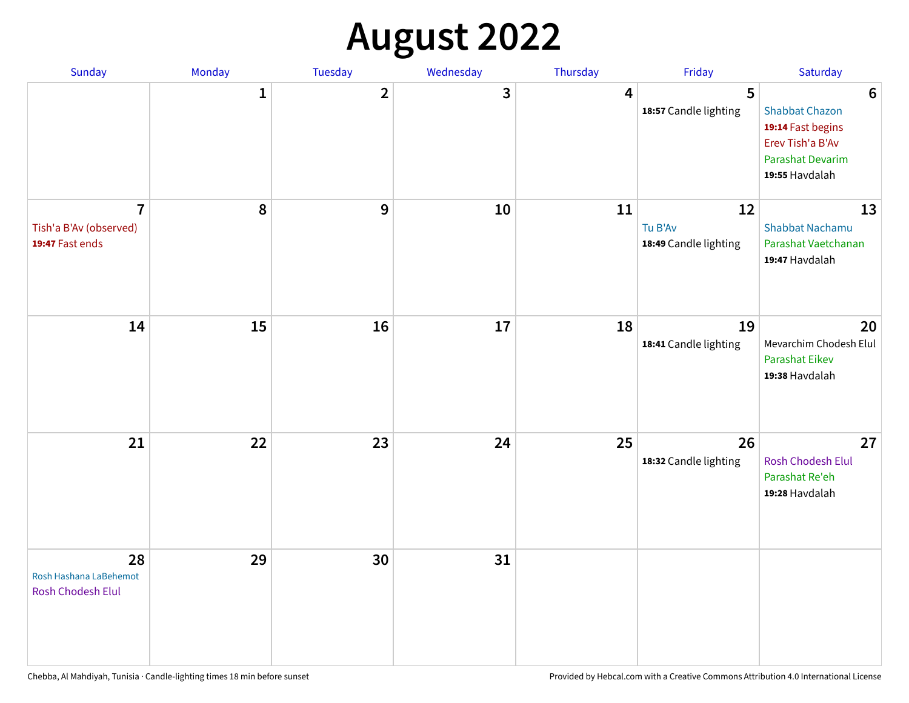## **August 2022**

| Sunday                                                      | Monday       | Tuesday                 | Wednesday | Thursday | Friday                                 | Saturday                                                                                                                       |
|-------------------------------------------------------------|--------------|-------------------------|-----------|----------|----------------------------------------|--------------------------------------------------------------------------------------------------------------------------------|
|                                                             | $\mathbf{1}$ | $\overline{\mathbf{2}}$ | 3         | 4        | 5<br>18:57 Candle lighting             | $6\phantom{1}6$<br><b>Shabbat Chazon</b><br>19:14 Fast begins<br>Erev Tish'a B'Av<br><b>Parashat Devarim</b><br>19:55 Havdalah |
| $\overline{7}$<br>Tish'a B'Av (observed)<br>19:47 Fast ends | 8            | 9                       | 10        | 11       | 12<br>Tu B'Av<br>18:49 Candle lighting | 13<br><b>Shabbat Nachamu</b><br>Parashat Vaetchanan<br>19:47 Havdalah                                                          |
| 14                                                          | 15           | 16                      | 17        | 18       | 19<br>18:41 Candle lighting            | 20<br>Mevarchim Chodesh Elul<br>Parashat Eikev<br>19:38 Havdalah                                                               |
| 21                                                          | 22           | 23                      | 24        | 25       | 26<br>18:32 Candle lighting            | 27<br>Rosh Chodesh Elul<br>Parashat Re'eh<br>19:28 Havdalah                                                                    |
| 28<br>Rosh Hashana LaBehemot<br>Rosh Chodesh Elul           | 29           | 30                      | 31        |          |                                        |                                                                                                                                |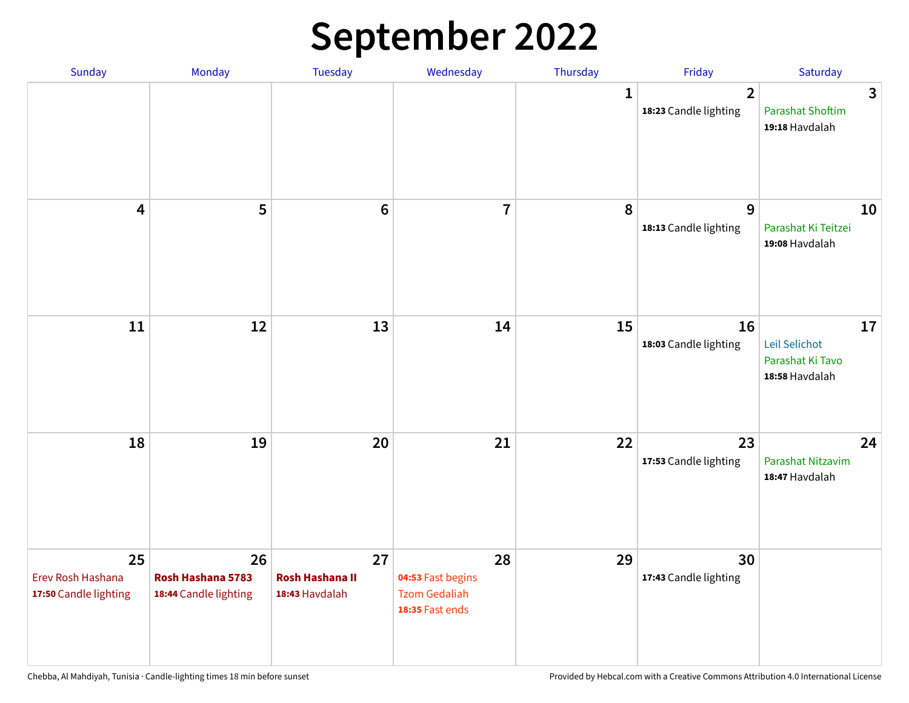## **September 2022**

| Sunday                                           | Monday                                           | <b>Tuesday</b>                                 | Wednesday                                                          | Thursday    | Friday                                  | Saturday                                                  |
|--------------------------------------------------|--------------------------------------------------|------------------------------------------------|--------------------------------------------------------------------|-------------|-----------------------------------------|-----------------------------------------------------------|
|                                                  |                                                  |                                                |                                                                    | $\mathbf 1$ | $\overline{2}$<br>18:23 Candle lighting | 3<br><b>Parashat Shoftim</b><br>19:18 Havdalah            |
| $\overline{\mathbf{4}}$                          | 5                                                | $6\phantom{1}6$                                | $\overline{7}$                                                     | 8           | 9<br>18:13 Candle lighting              | 10<br>Parashat Ki Teitzei<br>19:08 Havdalah               |
| 11                                               | 12                                               | 13                                             | 14                                                                 | 15          | 16<br>18:03 Candle lighting             | 17<br>Leil Selichot<br>Parashat Ki Tavo<br>18:58 Havdalah |
| 18                                               | 19                                               | 20                                             | 21                                                                 | 22          | 23<br>17:53 Candle lighting             | 24<br>Parashat Nitzavim<br>18:47 Havdalah                 |
| 25<br>Erev Rosh Hashana<br>17:50 Candle lighting | 26<br>Rosh Hashana 5783<br>18:44 Candle lighting | 27<br><b>Rosh Hashana II</b><br>18:43 Havdalah | 28<br>04:53 Fast begins<br><b>Tzom Gedaliah</b><br>18:35 Fast ends | 29          | 30<br>17:43 Candle lighting             |                                                           |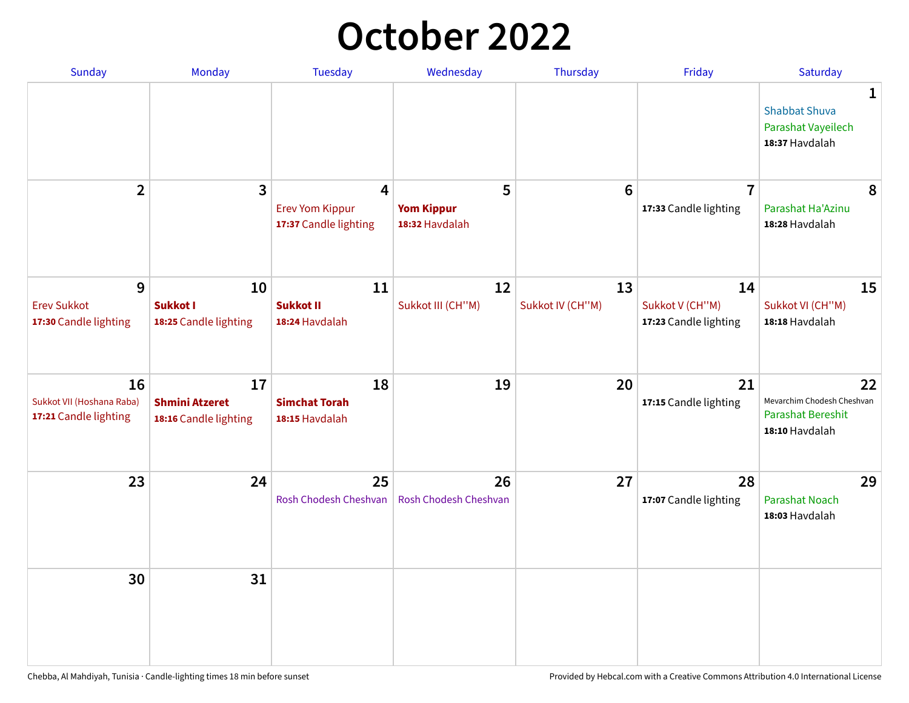## **October 2022**

| <b>Sunday</b>                                            | <b>Monday</b>                                        | <b>Tuesday</b>                                                    | Wednesday                                | Thursday               | Friday                                         | Saturday                                                                       |
|----------------------------------------------------------|------------------------------------------------------|-------------------------------------------------------------------|------------------------------------------|------------------------|------------------------------------------------|--------------------------------------------------------------------------------|
|                                                          |                                                      |                                                                   |                                          |                        |                                                | 1<br><b>Shabbat Shuva</b><br>Parashat Vayeilech<br>18:37 Havdalah              |
| $\overline{2}$                                           | $\overline{\mathbf{3}}$                              | $\overline{4}$<br><b>Erev Yom Kippur</b><br>17:37 Candle lighting | 5<br><b>Yom Kippur</b><br>18:32 Havdalah | 6                      | $\overline{7}$<br>17:33 Candle lighting        | 8<br>Parashat Ha'Azinu<br>18:28 Havdalah                                       |
| 9<br><b>Erev Sukkot</b><br>17:30 Candle lighting         | 10<br><b>Sukkot I</b><br>18:25 Candle lighting       | 11<br><b>Sukkot II</b><br>18:24 Havdalah                          | 12<br>Sukkot III (CH"M)                  | 13<br>Sukkot IV (CH"M) | 14<br>Sukkot V (CH"M)<br>17:23 Candle lighting | 15<br>Sukkot VI (CH"M)<br>18:18 Havdalah                                       |
| 16<br>Sukkot VII (Hoshana Raba)<br>17:21 Candle lighting | 17<br><b>Shmini Atzeret</b><br>18:16 Candle lighting | 18<br><b>Simchat Torah</b><br>18:15 Havdalah                      | 19                                       | 20                     | 21<br>17:15 Candle lighting                    | 22<br>Mevarchim Chodesh Cheshvan<br><b>Parashat Bereshit</b><br>18:10 Havdalah |
| 23                                                       | 24                                                   | 25<br>Rosh Chodesh Cheshvan                                       | 26<br>Rosh Chodesh Cheshvan              | 27                     | 28<br>17:07 Candle lighting                    | 29<br><b>Parashat Noach</b><br>18:03 Havdalah                                  |
| 30                                                       | 31                                                   |                                                                   |                                          |                        |                                                |                                                                                |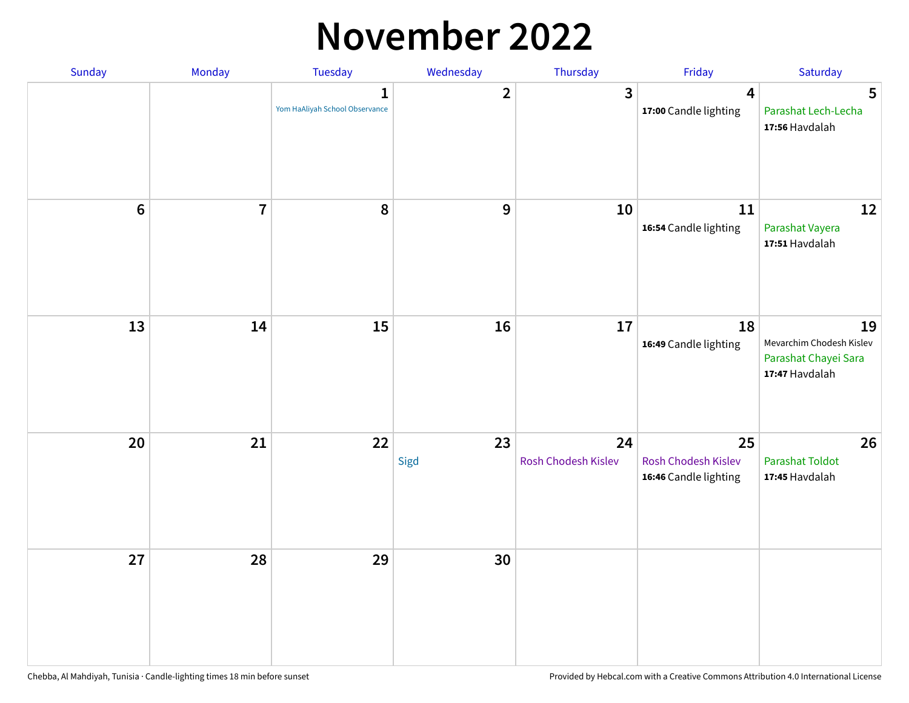## **November 2022**

| Sunday         | Monday                  | <b>Tuesday</b>                                 | Wednesday        | Thursday                  | Friday                                             | Saturday                                                                 |
|----------------|-------------------------|------------------------------------------------|------------------|---------------------------|----------------------------------------------------|--------------------------------------------------------------------------|
|                |                         | $\mathbf{1}$<br>Yom HaAliyah School Observance | $\overline{2}$   | $\mathbf{3}$              | $\boldsymbol{4}$<br>17:00 Candle lighting          | 5<br>Parashat Lech-Lecha<br>17:56 Havdalah                               |
| $6\phantom{a}$ | $\overline{\mathbf{7}}$ | 8                                              | $\boldsymbol{9}$ | 10                        | 11<br>16:54 Candle lighting                        | 12<br>Parashat Vayera<br>17:51 Havdalah                                  |
| 13             | 14                      | 15                                             | 16               | 17                        | 18<br>16:49 Candle lighting                        | 19<br>Mevarchim Chodesh Kislev<br>Parashat Chayei Sara<br>17:47 Havdalah |
| 20             | 21                      | 22                                             | 23<br>Sigd       | 24<br>Rosh Chodesh Kislev | 25<br>Rosh Chodesh Kislev<br>16:46 Candle lighting | 26<br><b>Parashat Toldot</b><br>17:45 Havdalah                           |
| 27             | 28                      | 29                                             | 30               |                           |                                                    |                                                                          |